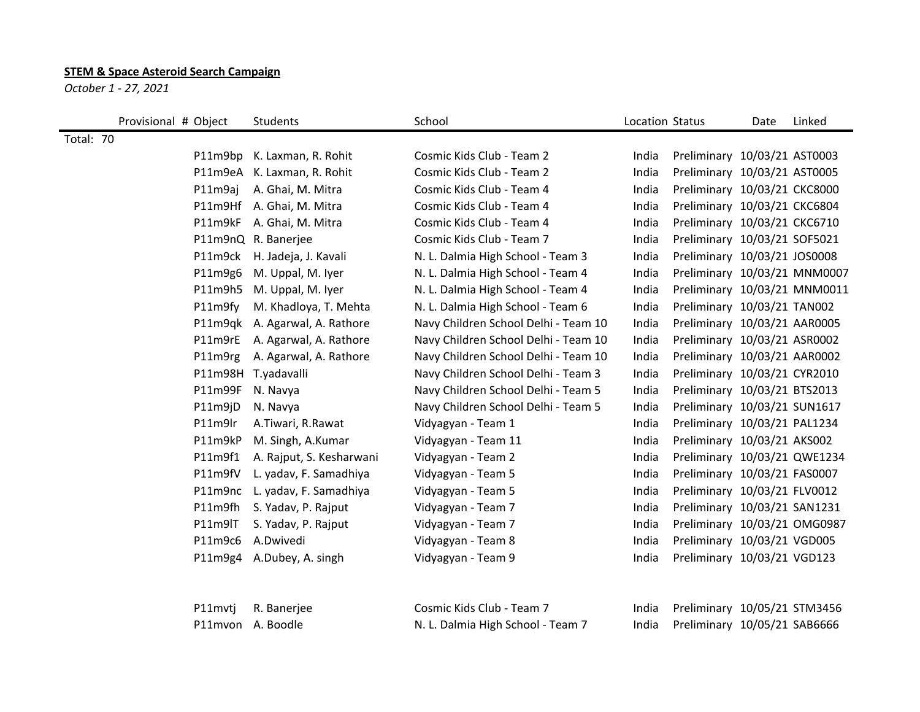## **STEM & Space Asteroid Search Campaign**

*October 1 - 27, 2021*

|           | Provisional # Object | Students                  | School                               | Location Status |                              | Date | Linked |
|-----------|----------------------|---------------------------|--------------------------------------|-----------------|------------------------------|------|--------|
| Total: 70 |                      |                           |                                      |                 |                              |      |        |
|           | P11m9bp              | K. Laxman, R. Rohit       | Cosmic Kids Club - Team 2            | India           | Preliminary 10/03/21 AST0003 |      |        |
|           | P11m9eA              | K. Laxman, R. Rohit       | Cosmic Kids Club - Team 2            | India           | Preliminary 10/03/21 AST0005 |      |        |
|           | P11m9aj              | A. Ghai, M. Mitra         | Cosmic Kids Club - Team 4            | India           | Preliminary 10/03/21 CKC8000 |      |        |
|           | P11m9Hf              | A. Ghai, M. Mitra         | Cosmic Kids Club - Team 4            | India           | Preliminary 10/03/21 CKC6804 |      |        |
|           | P11m9kF              | A. Ghai, M. Mitra         | Cosmic Kids Club - Team 4            | India           | Preliminary 10/03/21 CKC6710 |      |        |
|           |                      | P11m9nQ R. Banerjee       | Cosmic Kids Club - Team 7            | India           | Preliminary 10/03/21 SOF5021 |      |        |
|           | P11m9ck              | H. Jadeja, J. Kavali      | N. L. Dalmia High School - Team 3    | India           | Preliminary 10/03/21 JOS0008 |      |        |
|           | P11m9g6              | M. Uppal, M. Iyer         | N. L. Dalmia High School - Team 4    | India           | Preliminary 10/03/21 MNM0007 |      |        |
|           | P11m9h5              | M. Uppal, M. Iyer         | N. L. Dalmia High School - Team 4    | India           | Preliminary 10/03/21 MNM0011 |      |        |
|           | P11m9fy              | M. Khadloya, T. Mehta     | N. L. Dalmia High School - Team 6    | India           | Preliminary 10/03/21 TAN002  |      |        |
|           | P11m9qk              | A. Agarwal, A. Rathore    | Navy Children School Delhi - Team 10 | India           | Preliminary 10/03/21 AAR0005 |      |        |
|           | P11m9rE              | A. Agarwal, A. Rathore    | Navy Children School Delhi - Team 10 | India           | Preliminary 10/03/21 ASR0002 |      |        |
|           | P11m9rg              | A. Agarwal, A. Rathore    | Navy Children School Delhi - Team 10 | India           | Preliminary 10/03/21 AAR0002 |      |        |
|           |                      | P11m98H T.yadavalli       | Navy Children School Delhi - Team 3  | India           | Preliminary 10/03/21 CYR2010 |      |        |
|           | P11m99F              | N. Navya                  | Navy Children School Delhi - Team 5  | India           | Preliminary 10/03/21 BTS2013 |      |        |
|           | P11m9jD              | N. Navya                  | Navy Children School Delhi - Team 5  | India           | Preliminary 10/03/21 SUN1617 |      |        |
|           | P11m9lr              | A.Tiwari, R.Rawat         | Vidyagyan - Team 1                   | India           | Preliminary 10/03/21 PAL1234 |      |        |
|           | P11m9kP              | M. Singh, A.Kumar         | Vidyagyan - Team 11                  | India           | Preliminary 10/03/21 AKS002  |      |        |
|           | P11m9f1              | A. Rajput, S. Kesharwani  | Vidyagyan - Team 2                   | India           | Preliminary 10/03/21 QWE1234 |      |        |
|           | P11m9fV              | L. yadav, F. Samadhiya    | Vidyagyan - Team 5                   | India           | Preliminary 10/03/21 FAS0007 |      |        |
|           | P11m9nc              | L. yadav, F. Samadhiya    | Vidyagyan - Team 5                   | India           | Preliminary 10/03/21 FLV0012 |      |        |
|           | P11m9fh              | S. Yadav, P. Rajput       | Vidyagyan - Team 7                   | India           | Preliminary 10/03/21 SAN1231 |      |        |
|           | P11m9IT              | S. Yadav, P. Rajput       | Vidyagyan - Team 7                   | India           | Preliminary 10/03/21 OMG0987 |      |        |
|           | P11m9c6              | A.Dwivedi                 | Vidyagyan - Team 8                   | India           | Preliminary 10/03/21 VGD005  |      |        |
|           |                      | P11m9g4 A.Dubey, A. singh | Vidyagyan - Team 9                   | India           | Preliminary 10/03/21 VGD123  |      |        |

|                   | P11mvtj R. Banerjee | Cosmic Kids Club - Team 7         |  | India Preliminary 10/05/21 STM3456 |
|-------------------|---------------------|-----------------------------------|--|------------------------------------|
| P11mvon A. Boodle |                     | N. L. Dalmia High School - Team 7 |  | India Preliminary 10/05/21 SAB6666 |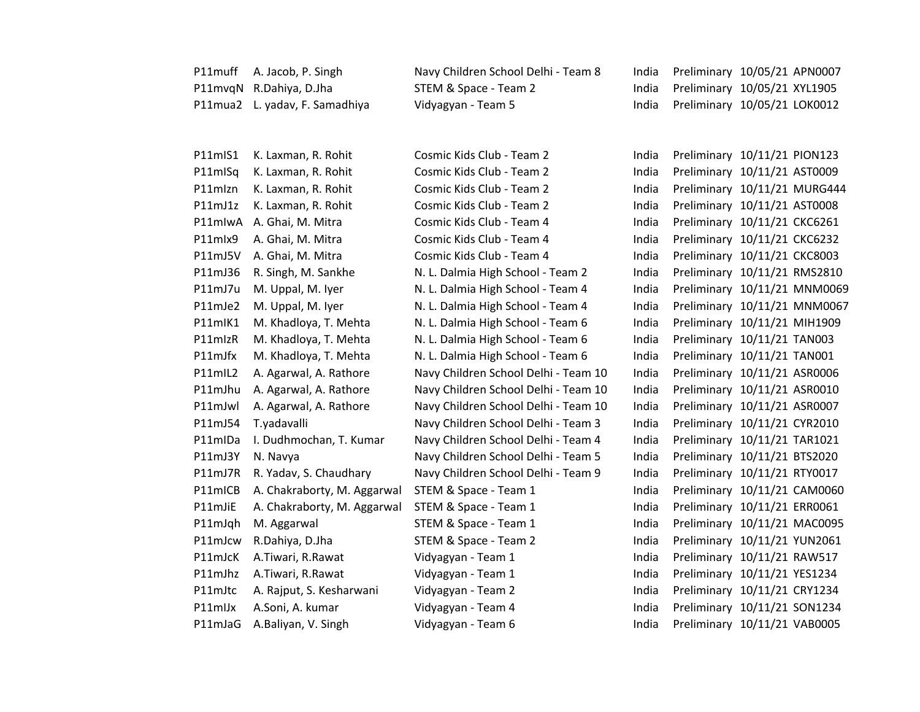| P11muff | A. Jacob, P. Singh             | Navy Children School Delhi - Team 8  | India | Preliminary 10/05/21 APN0007 |  |
|---------|--------------------------------|--------------------------------------|-------|------------------------------|--|
|         | P11mvqN R.Dahiya, D.Jha        | STEM & Space - Team 2                | India | Preliminary 10/05/21 XYL1905 |  |
|         | P11mua2 L. yadav, F. Samadhiya | Vidyagyan - Team 5                   | India | Preliminary 10/05/21 LOK0012 |  |
|         |                                |                                      |       |                              |  |
| P11mIS1 | K. Laxman, R. Rohit            | Cosmic Kids Club - Team 2            | India | Preliminary 10/11/21 PION123 |  |
| P11mISq | K. Laxman, R. Rohit            | Cosmic Kids Club - Team 2            | India | Preliminary 10/11/21 AST0009 |  |
| P11mlzn | K. Laxman, R. Rohit            | Cosmic Kids Club - Team 2            | India | Preliminary 10/11/21 MURG444 |  |
| P11mJ1z | K. Laxman, R. Rohit            | Cosmic Kids Club - Team 2            | India | Preliminary 10/11/21 AST0008 |  |
| P11mlwA | A. Ghai, M. Mitra              | Cosmic Kids Club - Team 4            | India | Preliminary 10/11/21 CKC6261 |  |
| P11mlx9 | A. Ghai, M. Mitra              | Cosmic Kids Club - Team 4            | India | Preliminary 10/11/21 CKC6232 |  |
| P11mJ5V | A. Ghai, M. Mitra              | Cosmic Kids Club - Team 4            | India | Preliminary 10/11/21 CKC8003 |  |
| P11mJ36 | R. Singh, M. Sankhe            | N. L. Dalmia High School - Team 2    | India | Preliminary 10/11/21 RMS2810 |  |
| P11mJ7u | M. Uppal, M. Iyer              | N. L. Dalmia High School - Team 4    | India | Preliminary 10/11/21 MNM0069 |  |
| P11mJe2 | M. Uppal, M. Iyer              | N. L. Dalmia High School - Team 4    | India | Preliminary 10/11/21 MNM0067 |  |
| P11mlK1 | M. Khadloya, T. Mehta          | N. L. Dalmia High School - Team 6    | India | Preliminary 10/11/21 MIH1909 |  |
| P11mlzR | M. Khadloya, T. Mehta          | N. L. Dalmia High School - Team 6    | India | Preliminary 10/11/21 TAN003  |  |
| P11mJfx | M. Khadloya, T. Mehta          | N. L. Dalmia High School - Team 6    | India | Preliminary 10/11/21 TAN001  |  |
| P11mIL2 | A. Agarwal, A. Rathore         | Navy Children School Delhi - Team 10 | India | Preliminary 10/11/21 ASR0006 |  |
| P11mJhu | A. Agarwal, A. Rathore         | Navy Children School Delhi - Team 10 | India | Preliminary 10/11/21 ASR0010 |  |
| P11mJwl | A. Agarwal, A. Rathore         | Navy Children School Delhi - Team 10 | India | Preliminary 10/11/21 ASR0007 |  |
| P11mJ54 | T.yadavalli                    | Navy Children School Delhi - Team 3  | India | Preliminary 10/11/21 CYR2010 |  |
| P11mIDa | I. Dudhmochan, T. Kumar        | Navy Children School Delhi - Team 4  | India | Preliminary 10/11/21 TAR1021 |  |
| P11mJ3Y | N. Navya                       | Navy Children School Delhi - Team 5  | India | Preliminary 10/11/21 BTS2020 |  |
| P11mJ7R | R. Yadav, S. Chaudhary         | Navy Children School Delhi - Team 9  | India | Preliminary 10/11/21 RTY0017 |  |
| P11mICB | A. Chakraborty, M. Aggarwal    | STEM & Space - Team 1                | India | Preliminary 10/11/21 CAM0060 |  |
| P11mJiE | A. Chakraborty, M. Aggarwal    | STEM & Space - Team 1                | India | Preliminary 10/11/21 ERR0061 |  |
| P11mJqh | M. Aggarwal                    | STEM & Space - Team 1                | India | Preliminary 10/11/21 MAC0095 |  |
| P11mJcw | R.Dahiya, D.Jha                | STEM & Space - Team 2                | India | Preliminary 10/11/21 YUN2061 |  |
| P11mJcK | A.Tiwari, R.Rawat              | Vidyagyan - Team 1                   | India | Preliminary 10/11/21 RAW517  |  |
| P11mJhz | A.Tiwari, R.Rawat              | Vidyagyan - Team 1                   | India | Preliminary 10/11/21 YES1234 |  |
| P11mJtc | A. Rajput, S. Kesharwani       | Vidyagyan - Team 2                   | India | Preliminary 10/11/21 CRY1234 |  |
| P11mlJx | A.Soni, A. kumar               | Vidyagyan - Team 4                   | India | Preliminary 10/11/21 SON1234 |  |
| P11mJaG | A.Baliyan, V. Singh            | Vidyagyan - Team 6                   | India | Preliminary 10/11/21 VAB0005 |  |
|         |                                |                                      |       |                              |  |